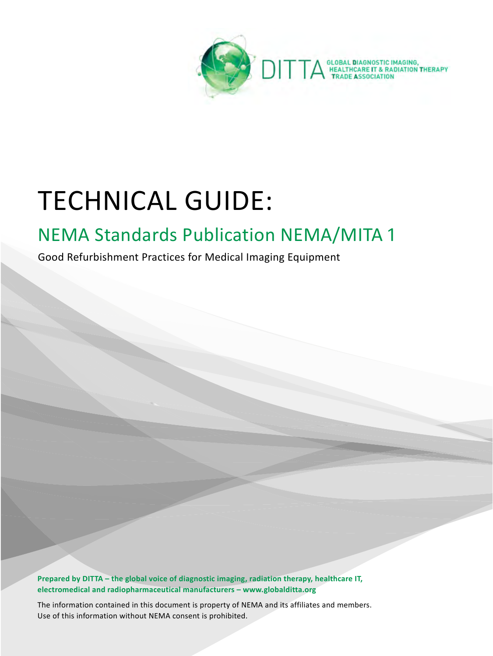

## TECHNICAL GUIDE:

## NEMA Standards Publication NEMA/MITA 1

Good Refurbishment Practices for Medical Imaging Equipment

**Prepared by DITTA – the global voice of diagnostic imaging, radiation therapy, healthcare IT, electromedical and radiopharmaceutical manufacturers – www.globalditta.org**

The information contained in this document is property of NEMA and its affiliates and members. Use of this information without NEMA consent is prohibited.